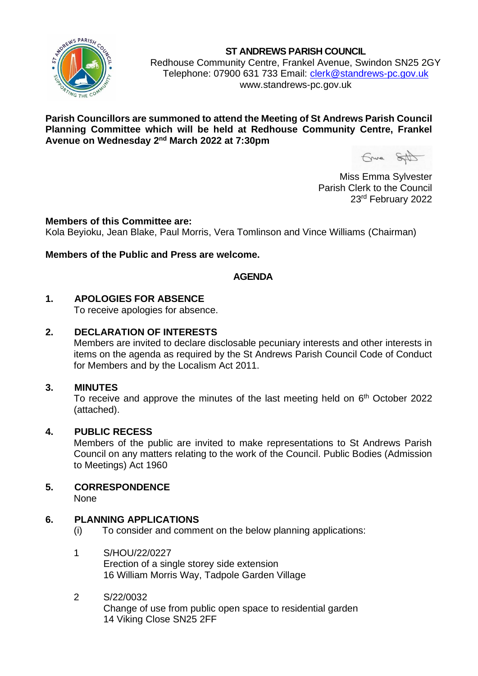

**ST ANDREWS PARISH COUNCIL**

Redhouse Community Centre, Frankel Avenue, Swindon SN25 2GY Telephone: 07900 631 733 Email: [clerk@standrews-pc.gov.uk](mailto:clerk@standrews-pc.gov.uk) www.standrews-pc.gov.uk

## **Parish Councillors are summoned to attend the Meeting of St Andrews Parish Council Planning Committee which will be held at Redhouse Community Centre, Frankel**  Avenue on Wednesday 2<sup>nd</sup> March 2022 at 7:30pm

Gruna SAD

Miss Emma Sylvester Parish Clerk to the Council 23rd February 2022

### **Members of this Committee are:**

Kola Beyioku, Jean Blake, Paul Morris, Vera Tomlinson and Vince Williams (Chairman)

## **Members of the Public and Press are welcome.**

## **AGENDA**

## **1. APOLOGIES FOR ABSENCE**

To receive apologies for absence.

### **2. DECLARATION OF INTERESTS**

Members are invited to declare disclosable pecuniary interests and other interests in items on the agenda as required by the St Andrews Parish Council Code of Conduct for Members and by the Localism Act 2011.

### **3. MINUTES**

To receive and approve the minutes of the last meeting held on 6<sup>th</sup> October 2022 (attached).

### **4. PUBLIC RECESS**

Members of the public are invited to make representations to St Andrews Parish Council on any matters relating to the work of the Council. Public Bodies (Admission to Meetings) Act 1960

# **5. CORRESPONDENCE**

None

### **6. PLANNING APPLICATIONS**

(i) To consider and comment on the below planning applications:

### 1 S/HOU/22/0227

Erection of a single storey side extension 16 William Morris Way, Tadpole Garden Village

#### 2 S/22/0032

Change of use from public open space to residential garden 14 Viking Close SN25 2FF